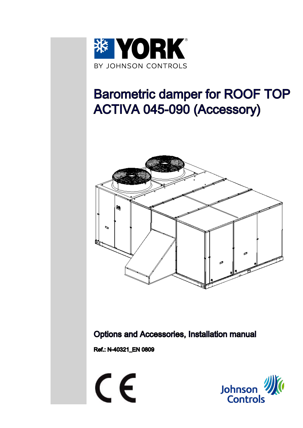

# Barometric damper for ROOF TOP ACTIVA 045-090 (Accessory)



Options and Accessories, Installation manual

Ref.: N-40321\_EN 0809



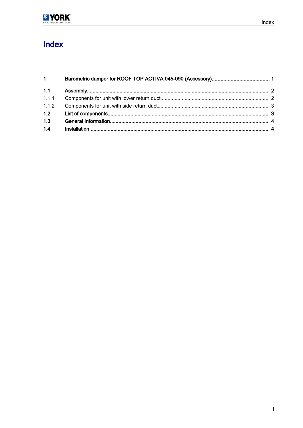### Index

| 1 <sup>1</sup> |  |
|----------------|--|
| 1.1            |  |
| 1.1.1          |  |
| 1.1.2          |  |
| 1.2            |  |
| 1.3            |  |
| 1.4            |  |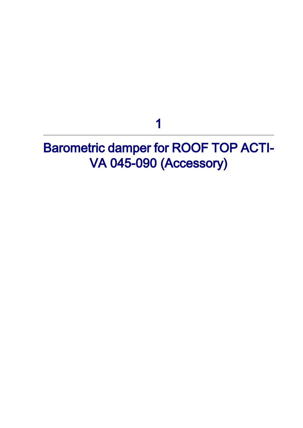## 1

## <span id="page-2-0"></span>**Barometric damper for ROOF TOP ACTI-**VA 045-090 (Accessory)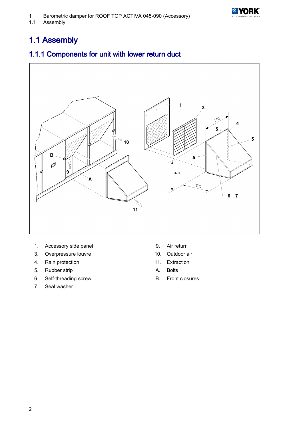

#### <span id="page-3-0"></span>Assembly

### 1.1 Assembly

### 1.1.1 Components for unit with lower return duct



- 1. Accessory side panel 9. Air return
- 3. Overpressure louvre 10. Outdoor air
- 4. Rain protection **11.** Extraction
- 5. Rubber strip **A. Bolts**
- 6. Self-threading screw B. Front closures
- 7. Seal washer
- 
- 
- 
- 
-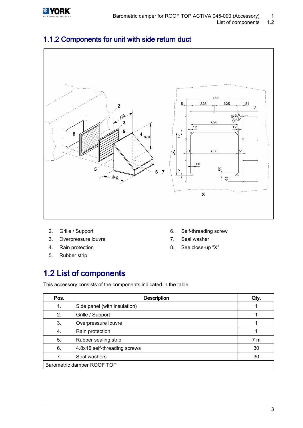<span id="page-4-0"></span>

#### List of components



### 1.1.2 Components for unit with side return duct

- 
- 3. Overpressure louvre **7.** Seal washer
- 
- 5. Rubber strip
- 2. Grille / Support 6. Self-threading screw
	-
- 4. Rain protection **8.** See close-up "X"

### 1.2 List of components

This accessory consists of the components indicated in the table.

| Pos.                       | <b>Description</b>           | Qty.           |  |
|----------------------------|------------------------------|----------------|--|
| 1.                         | Side panel (with insulation) |                |  |
| 2.                         | Grille / Support             |                |  |
| 3.                         | Overpressure louvre          |                |  |
| 4.                         | Rain protection              |                |  |
| 5.                         | Rubber sealing strip         | 7 <sub>m</sub> |  |
| 6.                         | 4.8x16 self-threading screws | 30             |  |
| 7.                         | Seal washers                 | 30             |  |
| Barometric damper ROOF TOP |                              |                |  |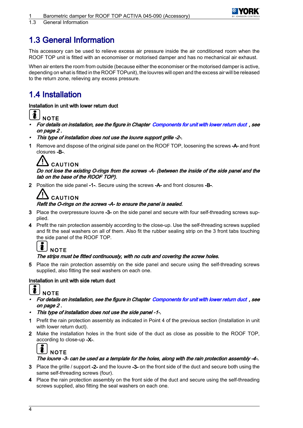

<span id="page-5-0"></span>1.3 General Information

### 1.3 General Information

This accessory can be used to relieve excess air pressure inside the air conditioned room when the ROOF TOP unit is fitted with an economiser or motorised damper and has no mechanical air exhaust.

When air enters the room from outside (because either the economiser or the motorised damper is active, depending on what is fitted in the ROOF TOPunit), the louvres will open and the excess air will be released to the return zone, relieving any excess pressure.

### 1.4 Installation

#### Installation in unit with lower return duct



- •For details on installation, see the figure in Chapter [Components for unit with lower return duct](#page-3-0), see on page 2 .
- •This type of installation does not use the louvre support grille -2-.
- 1 Remove and dispose of the original side panel on the ROOF TOP, loosening the screws -A- and front closures -B-.



#### Do not lose the existing O-rings from the screws -A- (between the inside of the side panel and the tab on the base of the ROOF TOP).

2 Position the side panel -1-. Secure using the screws -A- and front closures -B-.

### **CAUTION**

#### Refit the O-rings on the screws -A- to ensure the panel is sealed.

- 3 Place the overpressure louvre -3- on the side panel and secure with four self-threading screws supplied.
- 4 Prefit the rain protection assembly according to the close-up. Use the self-threading screws supplied and fit the seal washers on all of them. Also fit the rubber sealing strip on the 3 front tabs touching the side panel of the ROOF TOP.



#### The strips must be fitted continuously, with no cuts and covering the screw holes.

5 Place the rain protection assembly on the side panel and secure using the self-threading screws supplied, also fitting the seal washers on each one.

#### Installation in unit with side return duct



- • For details on installation, see the figure in Chapter [Components for unit with lower return duct](#page-3-0) , see on page 2 .
- •This type of installation does not use the side panel -1-.
- 1 Prefit the rain protection assembly as indicated in Point 4 of the previous section (Installation in unit with lower return duct).
- 2 Make the installation holes in the front side of the duct as close as possible to the ROOF TOP, according to close-up -X-.



#### The louvre -3- can be used as a template for the holes, along with the rain protection assembly -4-.

- 3 Place the grille / support -2- and the louvre -3- on the front side of the duct and secure both using the same self-threading screws (four).
- 4 Place the rain protection assembly on the front side of the duct and secure using the self-threading screws supplied, also fitting the seal washers on each one.